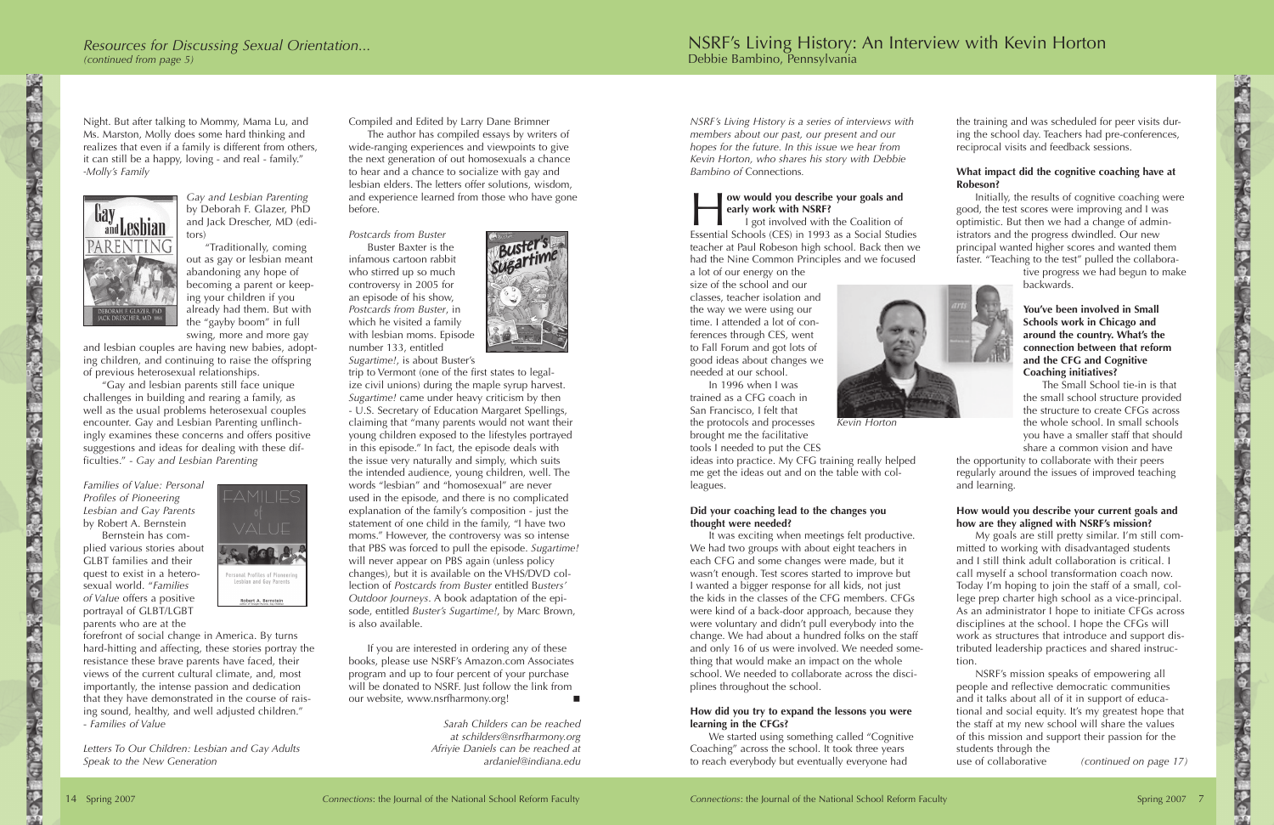*NSRF's Living History is a series of interviews with members about our past, our present and our hopes for the future. In this issue we hear from Kevin Horton, who shares his story with Debbie Bambino of* Connections*.*

# H**ow would you describe your goals and early work with NSRF?**

I got involved with the Coalition of Essential Schools (CES) in 1993 as a Social Studies teacher at Paul Robeson high school. Back then we had the Nine Common Principles and we focused

a lot of our energy on the size of the school and our classes, teacher isolation and the way we were using our time. I attended a lot of conferences through CES, went to Fall Forum and got lots of good ideas about changes we needed at our school.

In 1996 when I was trained as a CFG coach in San Francisco, I felt that the protocols and processes brought me the facilitative tools I needed to put the CES



*Kevin Horton*

ideas into practice. My CFG training really helped me get the ideas out and on the table with colleagues.

### **Did your coaching lead to the changes you thought were needed?**

It was exciting when meetings felt productive. We had two groups with about eight teachers in each CFG and some changes were made, but it wasn't enough. Test scores started to improve but I wanted a bigger response for all kids, not just the kids in the classes of the CFG members. CFGs were kind of a back-door approach, because they were voluntary and didn't pull everybody into the change. We had about a hundred folks on the staff and only 16 of us were involved. We needed something that would make an impact on the whole school. We needed to collaborate across the disciplines throughout the school.

#### **How did you try to expand the lessons you were learning in the CFGs?**

We started using something called "Cognitive Coaching" across the school. It took three years to reach everybody but eventually everyone had

the training and was scheduled for peer visits during the school day. Teachers had pre-conferences, reciprocal visits and feedback sessions.

# **What impact did the cognitive coaching have at Robeson?**

Initially, the results of cognitive coaching were good, the test scores were improving and I was optimistic. But then we had a change of administrators and the progress dwindled. Our new principal wanted higher scores and wanted them faster. "Teaching to the test" pulled the collabora-

tive progress we had begun to make backwards.

### **You've been involved in Small Schools work in Chicago and around the country. What's the connection between that reform and the CFG and Cognitive Coaching initiatives?**

The Small School tie-in is that the small school structure provided the structure to create CFGs across the whole school. In small schools you have a smaller staff that should share a common vision and have

the opportunity to collaborate with their peers regularly around the issues of improved teaching and learning.

### **How would you describe your current goals and how are they aligned with NSRF's mission?**

My goals are still pretty similar. I'm still committed to working with disadvantaged students and I still think adult collaboration is critical. I call myself a school transformation coach now. Today I'm hoping to join the staff of a small, college prep charter high school as a vice-principal. As an administrator I hope to initiate CFGs across disciplines at the school. I hope the CFGs will work as structures that introduce and support distributed leadership practices and shared instruction.

NSRF's mission speaks of empowering all people and reflective democratic communities and it talks about all of it in support of educational and social equity. It's my greatest hope that the staff at my new school will share the values of this mission and support their passion for the students through the use of collaborative

*(continued on page 17)*

- 「大きさんの「海の中の」、「大きさんの「大きさん」、「大きさん」、「大きさん」、「大きさん」、「大きさん」、「大きさん」、「さんさん」、「おんさん」、「おんさん」、「おんさん」、「おんさん」、「お